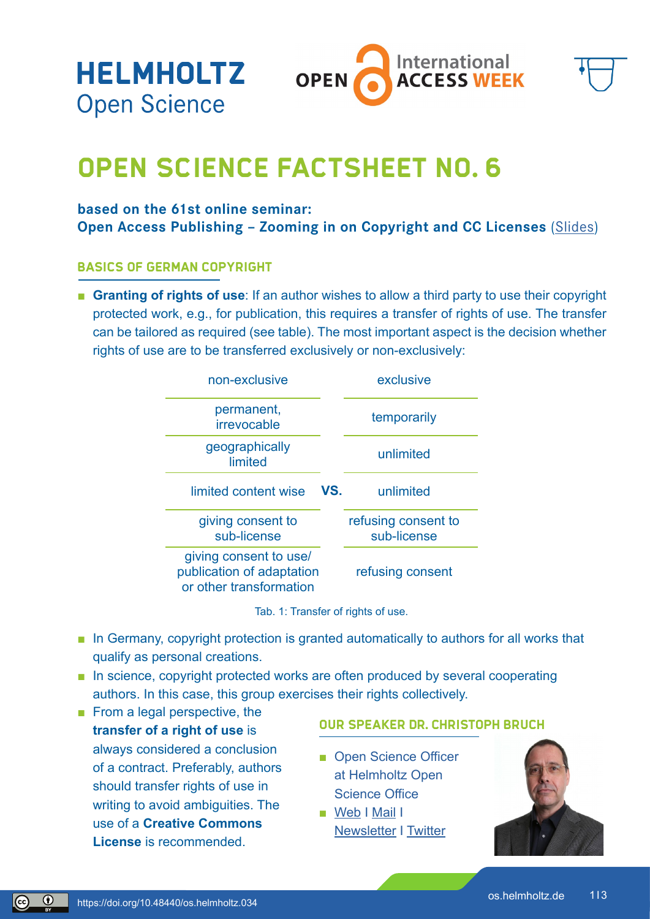**HELMHOLTZ Open Science** 



# **OPEN SCIENCE FACTSHEET NO. 6**

### **based on the 61st online seminar:**

**Open Access Publishing - Zooming in on Copyright and CC Licenses ([Slides](https://gfzpublic.gfz-potsdam.de/pubman/item/item_5008513_1/component/file_5008514/61.OnlineSeminar_HelmholtzOpenScienceOffice_OA-Week21.pdf))** 

### **Basics of German Copyright**

■ **Granting of rights of use**: If an author wishes to allow a third party to use their copyright protected work, e.g., for publication, this requires a transfer of rights of use. The transfer can be tailored as required (see table). The most important aspect is the decision whether rights of use are to be transferred exclusively or non-exclusively:

| non-exclusive                                                                  |     | exclusive                          |
|--------------------------------------------------------------------------------|-----|------------------------------------|
| permanent,<br>irrevocable                                                      | VS. | temporarily                        |
| geographically<br>limited                                                      |     | unlimited                          |
| limited content wise                                                           |     | unlimited                          |
| giving consent to<br>sub-license                                               |     | refusing consent to<br>sub-license |
| giving consent to use/<br>publication of adaptation<br>or other transformation |     | refusing consent                   |

Tab. 1: Transfer of rights of use.

- In Germany, copyright protection is granted automatically to authors for all works that qualify as personal creations.
- In science, copyright protected works are often produced by several cooperating authors. In this case, this group exercises their rights collectively.
- From a legal perspective, the **transfer of a right of use** is always considered a conclusion of a contract. Preferably, authors should transfer rights of use in writing to avoid ambiguities. The use of a **Creative Commons License** is recommended.

### **Our speaker Dr. Christoph Bruch**

- Open Science Officer at Helmholtz Open Science Offic[e](https://expneuro.charite.de/en/)
- [Web](https://os.helmholtz.de) I [Mail](mailto:open-science%40helmholtz.de?subject=) I [Newsletter](https://os.helmholtz.de/bewusstsein-schaerfen/newsletter/) I [Twitter](https://twitter.com/helmholtz_os)



 $\odot$ 

 $\left( \mathbb{c}\right)$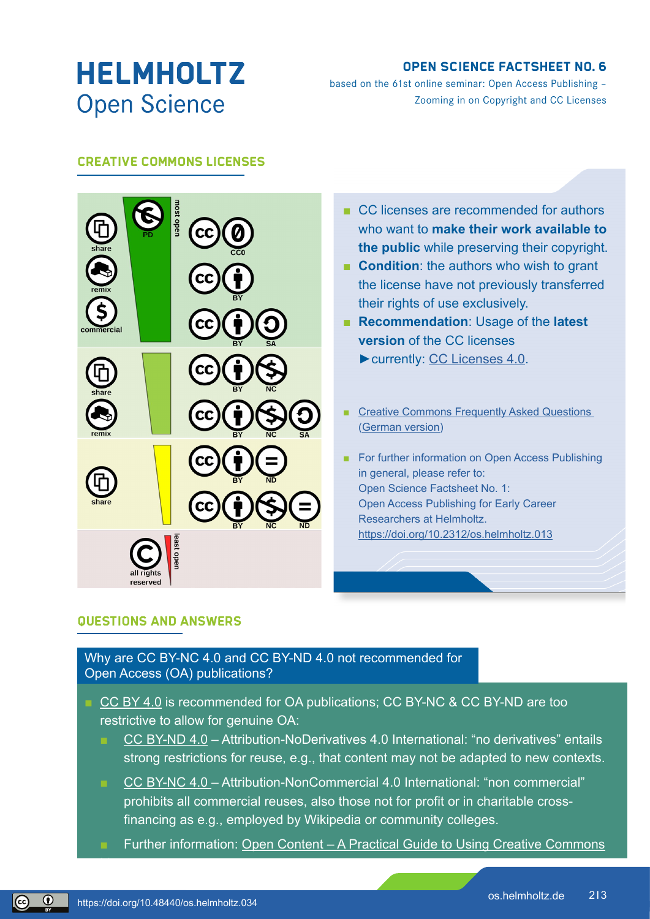# **HELMHOLTZ Open Science**

## **OPEN SCIENCE FACTSHEET NO. 6**

based on the 61st online seminar: Open Access Publishing – Zooming in on Copyright and CC Licenses

## **Creative Commons Licenses**



- CC licenses are recommended for authors who want to **make their work available to the public** while preserving their copyright.
- **Condition**: the authors who wish to grant the license have not previously transferred their rights of use exclusively.
- **Recommendation**: Usage of the **latest version** of the CC licenses ►currently: [CC Licenses 4.0](https://creativecommons.org/licenses/by/4.0/).
- Creative Commons Frequently Asked Questions ([German version\)](https://de.creativecommons.net/faqs/)
- For further information on Open Access Publishing in general, please refer to: Open Science Factsheet No. 1: Open Access Publishing for Early Career Researchers at Helmholtz. <https://doi.org/10.2312/os.helmholtz.013>

### **Questions and Answers**

Why are CC BY-NC 4.0 and CC BY-ND 4.0 not recommended for Open Access (OA) publications?

- [CC BY 4.0](https://creativecommons.org/licenses/by/4.0/) is recommended for OA publications; CC BY-NC & CC BY-ND are too restrictive to allow for genuine OA:
	- [CC BY-ND 4.0](https://creativecommons.org/licenses/by-nd/4.0/) Attribution-NoDerivatives 4.0 International: "no derivatives" entails strong restrictions for reuse, e.g., that content may not be adapted to new contexts.
	- [CC BY-NC 4.0 –](https://creativecommons.org/licenses/by-nc/4.0/) Attribution-NonCommercial 4.0 International: "non commercial" prohibits all commercial reuses, also those not for profit or in charitable crossfinancing as e.g., employed by Wikipedia or community colleges.
	- Further information: [Open Content A Practical Guide to Using Creative Commons](https://irights.info/wp-content/uploads/2014/11/Open_Content_A_Practical_Guide_to_Using_Open_Content_Licences_web.pdf)

Licenses

 $\left[\left(\widehat{\mathrm{cc}}\right)\right]$